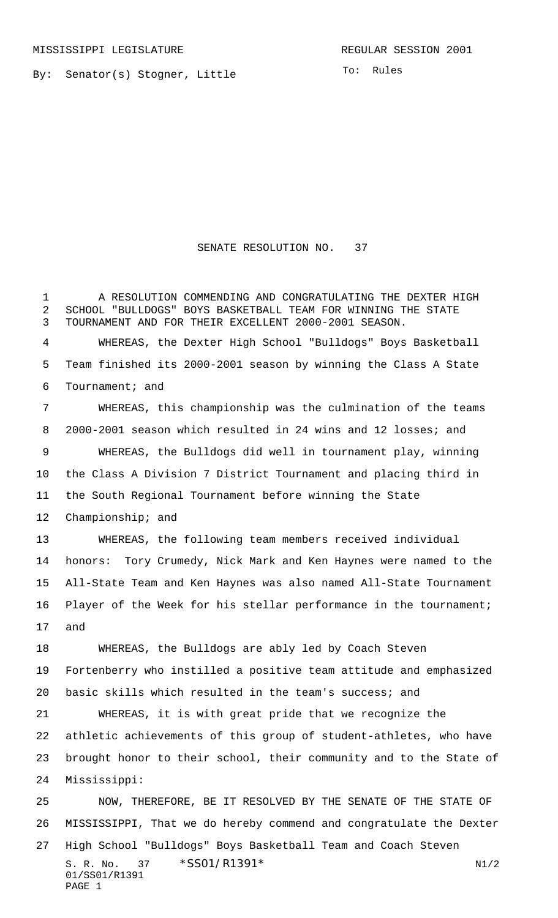By: Senator(s) Stogner, Little

SENATE RESOLUTION NO. 37

 A RESOLUTION COMMENDING AND CONGRATULATING THE DEXTER HIGH SCHOOL "BULLDOGS" BOYS BASKETBALL TEAM FOR WINNING THE STATE TOURNAMENT AND FOR THEIR EXCELLENT 2000-2001 SEASON.

 WHEREAS, the Dexter High School "Bulldogs" Boys Basketball Team finished its 2000-2001 season by winning the Class A State Tournament; and

 WHEREAS, this championship was the culmination of the teams 2000-2001 season which resulted in 24 wins and 12 losses; and WHEREAS, the Bulldogs did well in tournament play, winning the Class A Division 7 District Tournament and placing third in the South Regional Tournament before winning the State Championship; and WHEREAS, the following team members received individual honors: Tory Crumedy, Nick Mark and Ken Haynes were named to the All-State Team and Ken Haynes was also named All-State Tournament

and

 WHEREAS, the Bulldogs are ably led by Coach Steven Fortenberry who instilled a positive team attitude and emphasized basic skills which resulted in the team's success; and

Player of the Week for his stellar performance in the tournament;

 WHEREAS, it is with great pride that we recognize the athletic achievements of this group of student-athletes, who have brought honor to their school, their community and to the State of Mississippi:

S. R. No. 37 \* SS01/R1391\* N1/2 01/SS01/R1391 PAGE 1 NOW, THEREFORE, BE IT RESOLVED BY THE SENATE OF THE STATE OF MISSISSIPPI, That we do hereby commend and congratulate the Dexter High School "Bulldogs" Boys Basketball Team and Coach Steven